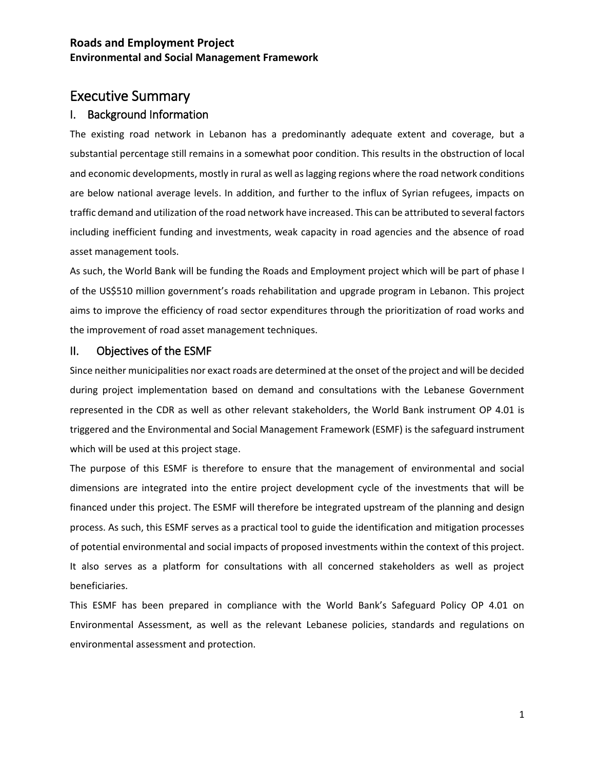# Executive Summary

### I. Background Information

The existing road network in Lebanon has a predominantly adequate extent and coverage, but a substantial percentage still remains in a somewhat poor condition. This results in the obstruction of local and economic developments, mostly in rural as well as lagging regions where the road network conditions are below national average levels. In addition, and further to the influx of Syrian refugees, impacts on traffic demand and utilization of the road network have increased. This can be attributed to several factors including inefficient funding and investments, weak capacity in road agencies and the absence of road asset management tools.

As such, the World Bank will be funding the Roads and Employment project which will be part of phase I of the US\$510 million government's roads rehabilitation and upgrade program in Lebanon. This project aims to improve the efficiency of road sector expenditures through the prioritization of road works and the improvement of road asset management techniques.

#### II. Objectives of the ESMF

Since neither municipalities nor exact roads are determined at the onset of the project and will be decided during project implementation based on demand and consultations with the Lebanese Government represented in the CDR as well as other relevant stakeholders, the World Bank instrument OP 4.01 is triggered and the Environmental and Social Management Framework (ESMF) is the safeguard instrument which will be used at this project stage.

The purpose of this ESMF is therefore to ensure that the management of environmental and social dimensions are integrated into the entire project development cycle of the investments that will be financed under this project. The ESMF will therefore be integrated upstream of the planning and design process. As such, this ESMF serves as a practical tool to guide the identification and mitigation processes of potential environmental and social impacts of proposed investments within the context of this project. It also serves as a platform for consultations with all concerned stakeholders as well as project beneficiaries.

This ESMF has been prepared in compliance with the World Bank's Safeguard Policy OP 4.01 on Environmental Assessment, as well as the relevant Lebanese policies, standards and regulations on environmental assessment and protection.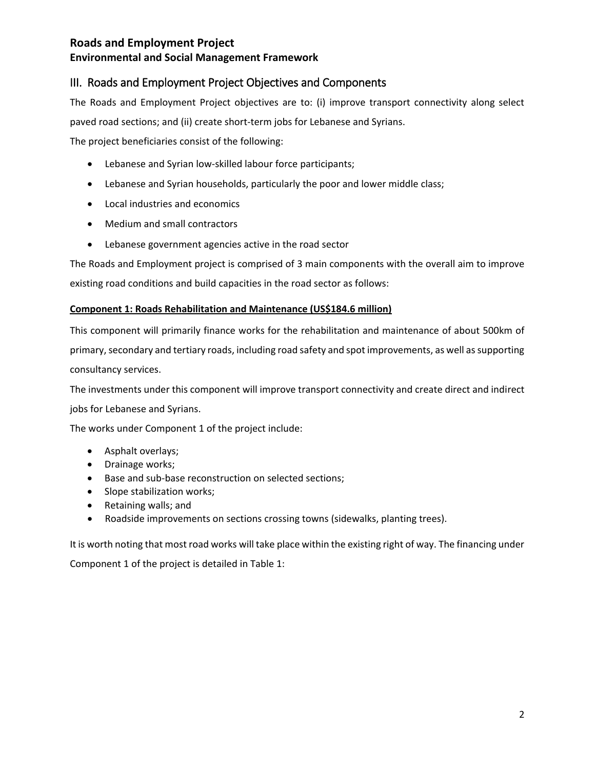# III. Roads and Employment Project Objectives and Components

The Roads and Employment Project objectives are to: (i) improve transport connectivity along select paved road sections; and (ii) create short-term jobs for Lebanese and Syrians.

The project beneficiaries consist of the following:

- Lebanese and Syrian low-skilled labour force participants;
- Lebanese and Syrian households, particularly the poor and lower middle class;
- Local industries and economics
- Medium and small contractors
- Lebanese government agencies active in the road sector

The Roads and Employment project is comprised of 3 main components with the overall aim to improve existing road conditions and build capacities in the road sector as follows:

#### **Component 1: Roads Rehabilitation and Maintenance (US\$184.6 million)**

This component will primarily finance works for the rehabilitation and maintenance of about 500km of primary, secondary and tertiary roads, including road safety and spot improvements, as well as supporting consultancy services.

The investments under this component will improve transport connectivity and create direct and indirect jobs for Lebanese and Syrians.

The works under Component 1 of the project include:

- Asphalt overlays;
- Drainage works;
- Base and sub-base reconstruction on selected sections;
- Slope stabilization works;
- Retaining walls; and
- Roadside improvements on sections crossing towns (sidewalks, planting trees).

It is worth noting that most road works will take place within the existing right of way. The financing under Component 1 of the project is detailed in Table 1: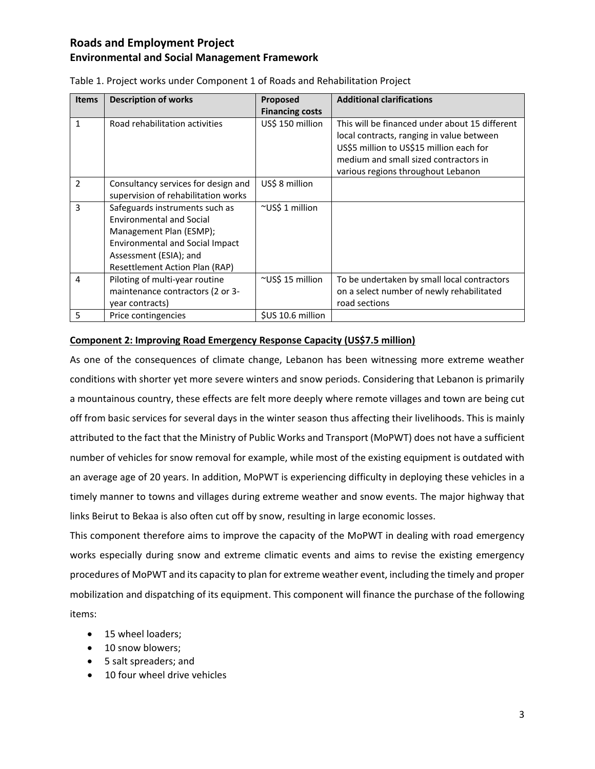| <b>Items</b>  | <b>Description of works</b>                                                                                                                                                                 | Proposed               | <b>Additional clarifications</b>                                                                                                                                                                                       |
|---------------|---------------------------------------------------------------------------------------------------------------------------------------------------------------------------------------------|------------------------|------------------------------------------------------------------------------------------------------------------------------------------------------------------------------------------------------------------------|
|               |                                                                                                                                                                                             | <b>Financing costs</b> |                                                                                                                                                                                                                        |
| 1             | Road rehabilitation activities                                                                                                                                                              | US\$ 150 million       | This will be financed under about 15 different<br>local contracts, ranging in value between<br>US\$5 million to US\$15 million each for<br>medium and small sized contractors in<br>various regions throughout Lebanon |
| $\mathcal{P}$ | Consultancy services for design and<br>supervision of rehabilitation works                                                                                                                  | US\$ 8 million         |                                                                                                                                                                                                                        |
| 3             | Safeguards instruments such as<br><b>Environmental and Social</b><br>Management Plan (ESMP);<br>Environmental and Social Impact<br>Assessment (ESIA); and<br>Resettlement Action Plan (RAP) | ~US\$ 1 million        |                                                                                                                                                                                                                        |
| 4             | Piloting of multi-year routine<br>maintenance contractors (2 or 3-<br>year contracts)                                                                                                       | $\sim$ US\$ 15 million | To be undertaken by small local contractors<br>on a select number of newly rehabilitated<br>road sections                                                                                                              |
| 5             | Price contingencies                                                                                                                                                                         | \$US 10.6 million      |                                                                                                                                                                                                                        |

#### Table 1. Project works under Component 1 of Roads and Rehabilitation Project

#### **Component 2: Improving Road Emergency Response Capacity (US\$7.5 million)**

As one of the consequences of climate change, Lebanon has been witnessing more extreme weather conditions with shorter yet more severe winters and snow periods. Considering that Lebanon is primarily a mountainous country, these effects are felt more deeply where remote villages and town are being cut off from basic services for several days in the winter season thus affecting their livelihoods. This is mainly attributed to the fact that the Ministry of Public Works and Transport (MoPWT) does not have a sufficient number of vehicles for snow removal for example, while most of the existing equipment is outdated with an average age of 20 years. In addition, MoPWT is experiencing difficulty in deploying these vehicles in a timely manner to towns and villages during extreme weather and snow events. The major highway that links Beirut to Bekaa is also often cut off by snow, resulting in large economic losses.

This component therefore aims to improve the capacity of the MoPWT in dealing with road emergency works especially during snow and extreme climatic events and aims to revise the existing emergency procedures of MoPWT and its capacity to plan for extreme weather event, including the timely and proper mobilization and dispatching of its equipment. This component will finance the purchase of the following items:

- 15 wheel loaders;
- 10 snow blowers;
- 5 salt spreaders; and
- 10 four wheel drive vehicles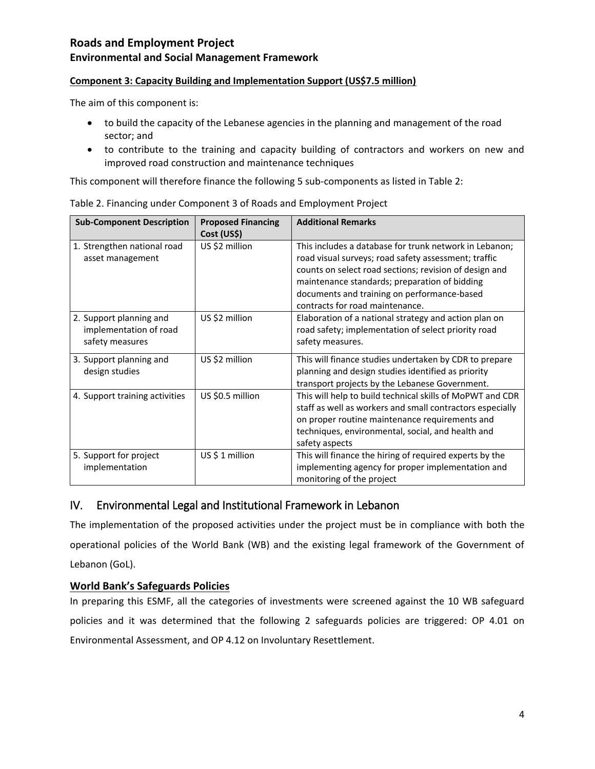# **Environmental and Social Management Framework**

### **Component 3: Capacity Building and Implementation Support (US\$7.5 million)**

The aim of this component is:

- to build the capacity of the Lebanese agencies in the planning and management of the road sector; and
- to contribute to the training and capacity building of contractors and workers on new and improved road construction and maintenance techniques

This component will therefore finance the following 5 sub-components as listed in Table 2:

| <b>Sub-Component Description</b>                                     | <b>Proposed Financing</b><br>Cost (US\$) | <b>Additional Remarks</b>                                                                                                                                                                                                                                                                                   |
|----------------------------------------------------------------------|------------------------------------------|-------------------------------------------------------------------------------------------------------------------------------------------------------------------------------------------------------------------------------------------------------------------------------------------------------------|
| 1. Strengthen national road<br>asset management                      | US \$2 million                           | This includes a database for trunk network in Lebanon;<br>road visual surveys; road safety assessment; traffic<br>counts on select road sections; revision of design and<br>maintenance standards; preparation of bidding<br>documents and training on performance-based<br>contracts for road maintenance. |
| 2. Support planning and<br>implementation of road<br>safety measures | US \$2 million                           | Elaboration of a national strategy and action plan on<br>road safety; implementation of select priority road<br>safety measures.                                                                                                                                                                            |
| 3. Support planning and<br>design studies                            | US \$2 million                           | This will finance studies undertaken by CDR to prepare<br>planning and design studies identified as priority<br>transport projects by the Lebanese Government.                                                                                                                                              |
| 4. Support training activities                                       | US \$0.5 million                         | This will help to build technical skills of MoPWT and CDR<br>staff as well as workers and small contractors especially<br>on proper routine maintenance requirements and<br>techniques, environmental, social, and health and<br>safety aspects                                                             |
| 5. Support for project<br>implementation                             | $US $1$ million                          | This will finance the hiring of required experts by the<br>implementing agency for proper implementation and<br>monitoring of the project                                                                                                                                                                   |

|  |  |  | Table 2. Financing under Component 3 of Roads and Employment Project |
|--|--|--|----------------------------------------------------------------------|
|  |  |  |                                                                      |

# IV. Environmental Legal and Institutional Framework in Lebanon

The implementation of the proposed activities under the project must be in compliance with both the operational policies of the World Bank (WB) and the existing legal framework of the Government of Lebanon (GoL).

### **World Bank's Safeguards Policies**

In preparing this ESMF, all the categories of investments were screened against the 10 WB safeguard policies and it was determined that the following 2 safeguards policies are triggered: OP 4.01 on Environmental Assessment, and OP 4.12 on Involuntary Resettlement.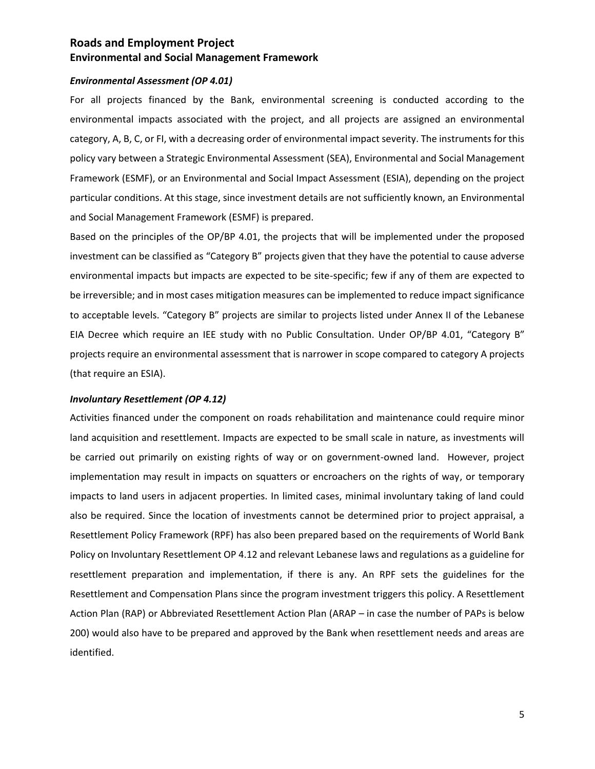#### *Environmental Assessment (OP 4.01)*

For all projects financed by the Bank, environmental screening is conducted according to the environmental impacts associated with the project, and all projects are assigned an environmental category, A, B, C, or FI, with a decreasing order of environmental impact severity. The instruments for this policy vary between a Strategic Environmental Assessment (SEA), Environmental and Social Management Framework (ESMF), or an Environmental and Social Impact Assessment (ESIA), depending on the project particular conditions. At this stage, since investment details are not sufficiently known, an Environmental and Social Management Framework (ESMF) is prepared.

Based on the principles of the OP/BP 4.01, the projects that will be implemented under the proposed investment can be classified as "Category B" projects given that they have the potential to cause adverse environmental impacts but impacts are expected to be site-specific; few if any of them are expected to be irreversible; and in most cases mitigation measures can be implemented to reduce impact significance to acceptable levels. "Category B" projects are similar to projects listed under Annex II of the Lebanese EIA Decree which require an IEE study with no Public Consultation. Under OP/BP 4.01, "Category B" projects require an environmental assessment that is narrower in scope compared to category A projects (that require an ESIA).

#### *Involuntary Resettlement (OP 4.12)*

Activities financed under the component on roads rehabilitation and maintenance could require minor land acquisition and resettlement. Impacts are expected to be small scale in nature, as investments will be carried out primarily on existing rights of way or on government-owned land. However, project implementation may result in impacts on squatters or encroachers on the rights of way, or temporary impacts to land users in adjacent properties. In limited cases, minimal involuntary taking of land could also be required. Since the location of investments cannot be determined prior to project appraisal, a Resettlement Policy Framework (RPF) has also been prepared based on the requirements of World Bank Policy on Involuntary Resettlement OP 4.12 and relevant Lebanese laws and regulations as a guideline for resettlement preparation and implementation, if there is any. An RPF sets the guidelines for the Resettlement and Compensation Plans since the program investment triggers this policy. A Resettlement Action Plan (RAP) or Abbreviated Resettlement Action Plan (ARAP – in case the number of PAPs is below 200) would also have to be prepared and approved by the Bank when resettlement needs and areas are identified.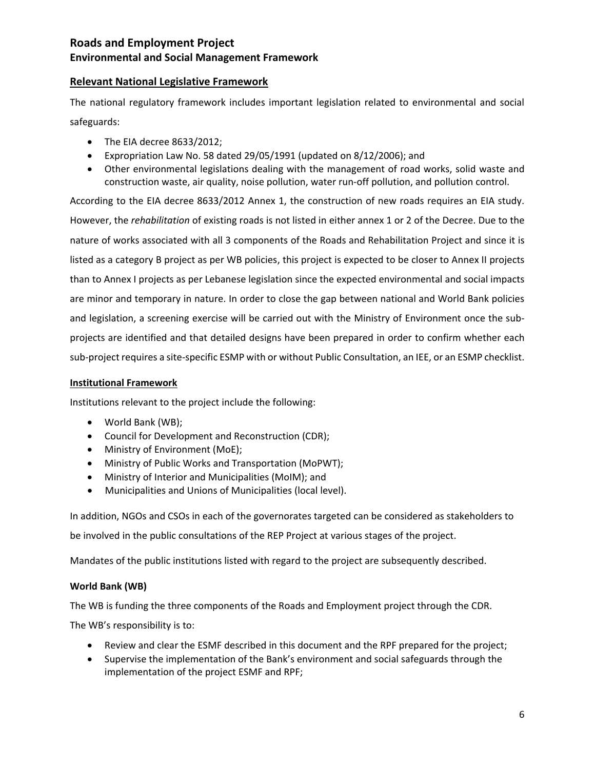#### **Relevant National Legislative Framework**

The national regulatory framework includes important legislation related to environmental and social safeguards:

- The EIA decree 8633/2012;
- Expropriation Law No. 58 dated 29/05/1991 (updated on 8/12/2006); and
- Other environmental legislations dealing with the management of road works, solid waste and construction waste, air quality, noise pollution, water run-off pollution, and pollution control.

According to the EIA decree 8633/2012 Annex 1, the construction of new roads requires an EIA study. However, the *rehabilitation* of existing roads is not listed in either annex 1 or 2 of the Decree. Due to the nature of works associated with all 3 components of the Roads and Rehabilitation Project and since it is listed as a category B project as per WB policies, this project is expected to be closer to Annex II projects than to Annex I projects as per Lebanese legislation since the expected environmental and social impacts are minor and temporary in nature. In order to close the gap between national and World Bank policies and legislation, a screening exercise will be carried out with the Ministry of Environment once the subprojects are identified and that detailed designs have been prepared in order to confirm whether each sub-project requires a site-specific ESMP with or without Public Consultation, an IEE, or an ESMP checklist.

#### **Institutional Framework**

Institutions relevant to the project include the following:

- World Bank (WB);
- Council for Development and Reconstruction (CDR);
- Ministry of Environment (MoE);
- Ministry of Public Works and Transportation (MoPWT);
- Ministry of Interior and Municipalities (MoIM); and
- Municipalities and Unions of Municipalities (local level).

In addition, NGOs and CSOs in each of the governorates targeted can be considered as stakeholders to

be involved in the public consultations of the REP Project at various stages of the project.

Mandates of the public institutions listed with regard to the project are subsequently described.

#### **World Bank (WB)**

The WB is funding the three components of the Roads and Employment project through the CDR. The WB's responsibility is to:

- Review and clear the ESMF described in this document and the RPF prepared for the project;
- Supervise the implementation of the Bank's environment and social safeguards through the implementation of the project ESMF and RPF;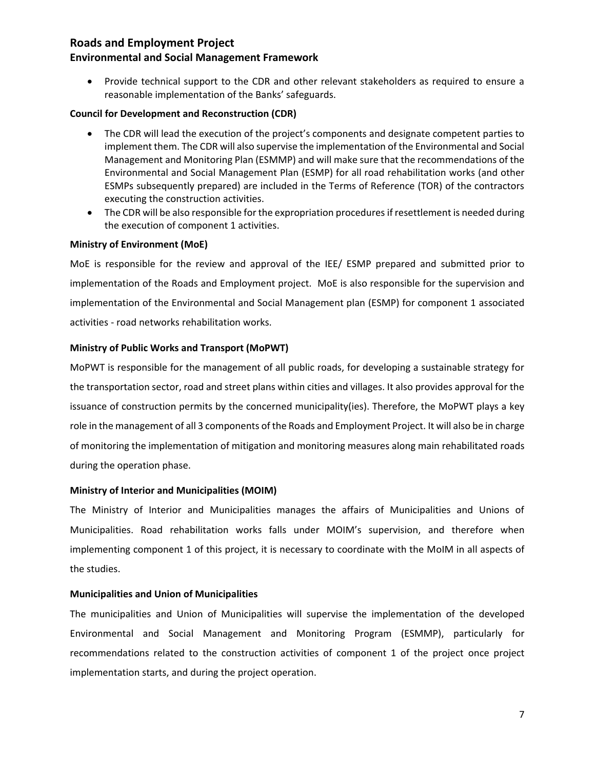#### **Environmental and Social Management Framework**

 Provide technical support to the CDR and other relevant stakeholders as required to ensure a reasonable implementation of the Banks' safeguards.

#### **Council for Development and Reconstruction (CDR)**

- The CDR will lead the execution of the project's components and designate competent parties to implement them. The CDR will also supervise the implementation of the Environmental and Social Management and Monitoring Plan (ESMMP) and will make sure that the recommendations of the Environmental and Social Management Plan (ESMP) for all road rehabilitation works (and other ESMPs subsequently prepared) are included in the Terms of Reference (TOR) of the contractors executing the construction activities.
- The CDR will be also responsible for the expropriation procedures if resettlement is needed during the execution of component 1 activities.

#### **Ministry of Environment (MoE)**

MoE is responsible for the review and approval of the IEE/ ESMP prepared and submitted prior to implementation of the Roads and Employment project. MoE is also responsible for the supervision and implementation of the Environmental and Social Management plan (ESMP) for component 1 associated activities - road networks rehabilitation works.

#### **Ministry of Public Works and Transport (MoPWT)**

MoPWT is responsible for the management of all public roads, for developing a sustainable strategy for the transportation sector, road and street plans within cities and villages. It also provides approval for the issuance of construction permits by the concerned municipality(ies). Therefore, the MoPWT plays a key role in the management of all 3 components of the Roads and Employment Project. It will also be in charge of monitoring the implementation of mitigation and monitoring measures along main rehabilitated roads during the operation phase.

#### **Ministry of Interior and Municipalities (MOIM)**

The Ministry of Interior and Municipalities manages the affairs of Municipalities and Unions of Municipalities. Road rehabilitation works falls under MOIM's supervision, and therefore when implementing component 1 of this project, it is necessary to coordinate with the MoIM in all aspects of the studies.

#### **Municipalities and Union of Municipalities**

The municipalities and Union of Municipalities will supervise the implementation of the developed Environmental and Social Management and Monitoring Program (ESMMP), particularly for recommendations related to the construction activities of component 1 of the project once project implementation starts, and during the project operation.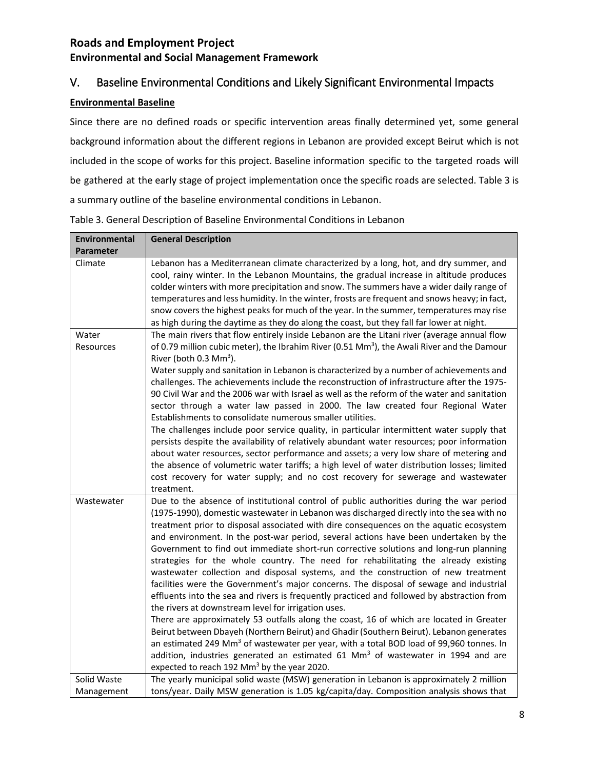# V. Baseline Environmental Conditions and Likely Significant Environmental Impacts

### **Environmental Baseline**

Since there are no defined roads or specific intervention areas finally determined yet, some general background information about the different regions in Lebanon are provided except Beirut which is not included in the scope of works for this project. Baseline information specific to the targeted roads will be gathered at the early stage of project implementation once the specific roads are selected. Table 3 is a summary outline of the baseline environmental conditions in Lebanon.

| Environmental    | <b>General Description</b>                                                                              |
|------------------|---------------------------------------------------------------------------------------------------------|
| <b>Parameter</b> |                                                                                                         |
| Climate          | Lebanon has a Mediterranean climate characterized by a long, hot, and dry summer, and                   |
|                  | cool, rainy winter. In the Lebanon Mountains, the gradual increase in altitude produces                 |
|                  | colder winters with more precipitation and snow. The summers have a wider daily range of                |
|                  | temperatures and less humidity. In the winter, frosts are frequent and snows heavy; in fact,            |
|                  | snow covers the highest peaks for much of the year. In the summer, temperatures may rise                |
|                  | as high during the daytime as they do along the coast, but they fall far lower at night.                |
| Water            | The main rivers that flow entirely inside Lebanon are the Litani river (average annual flow             |
| Resources        | of 0.79 million cubic meter), the Ibrahim River (0.51 Mm <sup>3</sup> ), the Awali River and the Damour |
|                  | River (both 0.3 Mm <sup>3</sup> ).                                                                      |
|                  | Water supply and sanitation in Lebanon is characterized by a number of achievements and                 |
|                  | challenges. The achievements include the reconstruction of infrastructure after the 1975-               |
|                  | 90 Civil War and the 2006 war with Israel as well as the reform of the water and sanitation             |
|                  | sector through a water law passed in 2000. The law created four Regional Water                          |
|                  | Establishments to consolidate numerous smaller utilities.                                               |
|                  | The challenges include poor service quality, in particular intermittent water supply that               |
|                  | persists despite the availability of relatively abundant water resources; poor information              |
|                  | about water resources, sector performance and assets; a very low share of metering and                  |
|                  | the absence of volumetric water tariffs; a high level of water distribution losses; limited             |
|                  |                                                                                                         |
|                  | cost recovery for water supply; and no cost recovery for sewerage and wastewater                        |
|                  | treatment.                                                                                              |
| Wastewater       | Due to the absence of institutional control of public authorities during the war period                 |
|                  | (1975-1990), domestic wastewater in Lebanon was discharged directly into the sea with no                |
|                  | treatment prior to disposal associated with dire consequences on the aquatic ecosystem                  |
|                  | and environment. In the post-war period, several actions have been undertaken by the                    |
|                  | Government to find out immediate short-run corrective solutions and long-run planning                   |
|                  | strategies for the whole country. The need for rehabilitating the already existing                      |
|                  | wastewater collection and disposal systems, and the construction of new treatment                       |
|                  | facilities were the Government's major concerns. The disposal of sewage and industrial                  |
|                  | effluents into the sea and rivers is frequently practiced and followed by abstraction from              |
|                  | the rivers at downstream level for irrigation uses.                                                     |
|                  | There are approximately 53 outfalls along the coast, 16 of which are located in Greater                 |
|                  | Beirut between Dbayeh (Northern Beirut) and Ghadir (Southern Beirut). Lebanon generates                 |
|                  | an estimated 249 Mm <sup>3</sup> of wastewater per year, with a total BOD load of 99,960 tonnes. In     |
|                  | addition, industries generated an estimated 61 Mm <sup>3</sup> of wastewater in 1994 and are            |
|                  | expected to reach 192 Mm <sup>3</sup> by the year 2020.                                                 |
| Solid Waste      | The yearly municipal solid waste (MSW) generation in Lebanon is approximately 2 million                 |
| Management       | tons/year. Daily MSW generation is 1.05 kg/capita/day. Composition analysis shows that                  |

Table 3. General Description of Baseline Environmental Conditions in Lebanon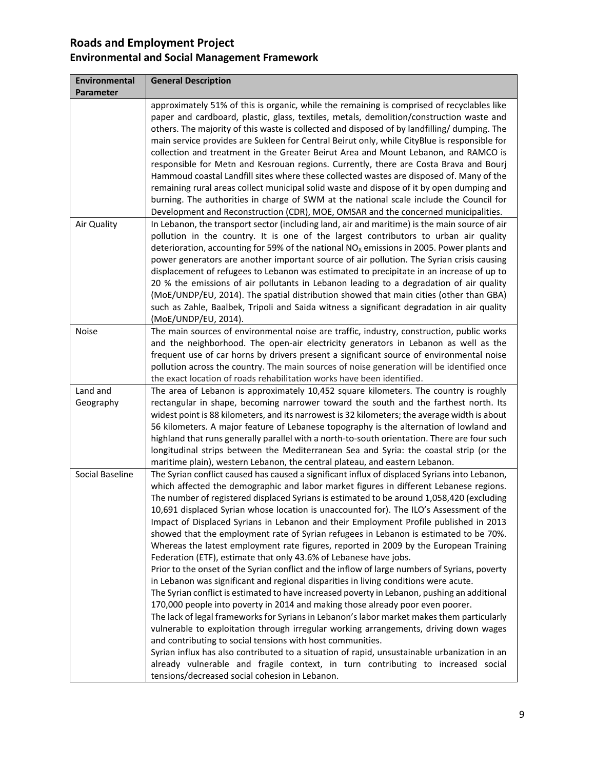| Environmental<br>Parameter | <b>General Description</b>                                                                                                                                                                                                                                                                                                                                                                                                                                                                                                                                                                                                                                                                                                                                                                                                                                                                                                                                                                                                                                                                                                                                                                                                                                                                                                                                                                                                                                                                                                                                                                            |
|----------------------------|-------------------------------------------------------------------------------------------------------------------------------------------------------------------------------------------------------------------------------------------------------------------------------------------------------------------------------------------------------------------------------------------------------------------------------------------------------------------------------------------------------------------------------------------------------------------------------------------------------------------------------------------------------------------------------------------------------------------------------------------------------------------------------------------------------------------------------------------------------------------------------------------------------------------------------------------------------------------------------------------------------------------------------------------------------------------------------------------------------------------------------------------------------------------------------------------------------------------------------------------------------------------------------------------------------------------------------------------------------------------------------------------------------------------------------------------------------------------------------------------------------------------------------------------------------------------------------------------------------|
|                            | approximately 51% of this is organic, while the remaining is comprised of recyclables like<br>paper and cardboard, plastic, glass, textiles, metals, demolition/construction waste and<br>others. The majority of this waste is collected and disposed of by landfilling/dumping. The<br>main service provides are Sukleen for Central Beirut only, while CityBlue is responsible for<br>collection and treatment in the Greater Beirut Area and Mount Lebanon, and RAMCO is<br>responsible for Metn and Kesrouan regions. Currently, there are Costa Brava and Bourj<br>Hammoud coastal Landfill sites where these collected wastes are disposed of. Many of the<br>remaining rural areas collect municipal solid waste and dispose of it by open dumping and<br>burning. The authorities in charge of SWM at the national scale include the Council for<br>Development and Reconstruction (CDR), MOE, OMSAR and the concerned municipalities.                                                                                                                                                                                                                                                                                                                                                                                                                                                                                                                                                                                                                                                       |
| Air Quality                | In Lebanon, the transport sector (including land, air and maritime) is the main source of air<br>pollution in the country. It is one of the largest contributors to urban air quality<br>deterioration, accounting for 59% of the national $NOx$ emissions in 2005. Power plants and<br>power generators are another important source of air pollution. The Syrian crisis causing<br>displacement of refugees to Lebanon was estimated to precipitate in an increase of up to<br>20 % the emissions of air pollutants in Lebanon leading to a degradation of air quality<br>(MoE/UNDP/EU, 2014). The spatial distribution showed that main cities (other than GBA)<br>such as Zahle, Baalbek, Tripoli and Saida witness a significant degradation in air quality<br>(MoE/UNDP/EU, 2014).                                                                                                                                                                                                                                                                                                                                                                                                                                                                                                                                                                                                                                                                                                                                                                                                              |
| Noise                      | The main sources of environmental noise are traffic, industry, construction, public works<br>and the neighborhood. The open-air electricity generators in Lebanon as well as the<br>frequent use of car horns by drivers present a significant source of environmental noise<br>pollution across the country. The main sources of noise generation will be identified once<br>the exact location of roads rehabilitation works have been identified.                                                                                                                                                                                                                                                                                                                                                                                                                                                                                                                                                                                                                                                                                                                                                                                                                                                                                                                                                                                                                                                                                                                                                  |
| Land and<br>Geography      | The area of Lebanon is approximately 10,452 square kilometers. The country is roughly<br>rectangular in shape, becoming narrower toward the south and the farthest north. Its<br>widest point is 88 kilometers, and its narrowest is 32 kilometers; the average width is about<br>56 kilometers. A major feature of Lebanese topography is the alternation of lowland and<br>highland that runs generally parallel with a north-to-south orientation. There are four such<br>longitudinal strips between the Mediterranean Sea and Syria: the coastal strip (or the<br>maritime plain), western Lebanon, the central plateau, and eastern Lebanon.                                                                                                                                                                                                                                                                                                                                                                                                                                                                                                                                                                                                                                                                                                                                                                                                                                                                                                                                                    |
| Social Baseline            | The Syrian conflict caused has caused a significant influx of displaced Syrians into Lebanon,<br>which affected the demographic and labor market figures in different Lebanese regions.<br>The number of registered displaced Syrians is estimated to be around 1,058,420 (excluding<br>10,691 displaced Syrian whose location is unaccounted for). The ILO's Assessment of the<br>Impact of Displaced Syrians in Lebanon and their Employment Profile published in 2013<br>showed that the employment rate of Syrian refugees in Lebanon is estimated to be 70%.<br>Whereas the latest employment rate figures, reported in 2009 by the European Training<br>Federation (ETF), estimate that only 43.6% of Lebanese have jobs.<br>Prior to the onset of the Syrian conflict and the inflow of large numbers of Syrians, poverty<br>in Lebanon was significant and regional disparities in living conditions were acute.<br>The Syrian conflict is estimated to have increased poverty in Lebanon, pushing an additional<br>170,000 people into poverty in 2014 and making those already poor even poorer.<br>The lack of legal frameworks for Syrians in Lebanon's labor market makes them particularly<br>vulnerable to exploitation through irregular working arrangements, driving down wages<br>and contributing to social tensions with host communities.<br>Syrian influx has also contributed to a situation of rapid, unsustainable urbanization in an<br>already vulnerable and fragile context, in turn contributing to increased social<br>tensions/decreased social cohesion in Lebanon. |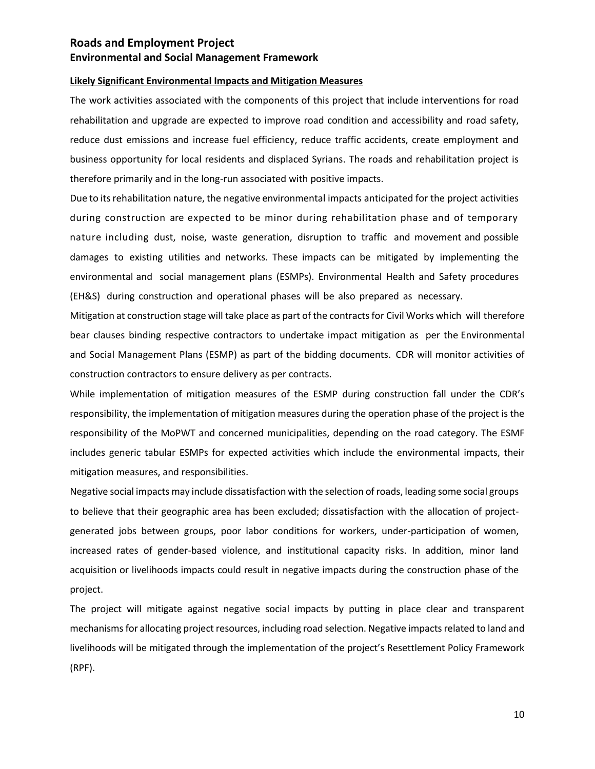#### **Likely Significant Environmental Impacts and Mitigation Measures**

The work activities associated with the components of this project that include interventions for road rehabilitation and upgrade are expected to improve road condition and accessibility and road safety, reduce dust emissions and increase fuel efficiency, reduce traffic accidents, create employment and business opportunity for local residents and displaced Syrians. The roads and rehabilitation project is therefore primarily and in the long-run associated with positive impacts.

Due to its rehabilitation nature, the negative environmental impacts anticipated for the project activities during construction are expected to be minor during rehabilitation phase and of temporary nature including dust, noise, waste generation, disruption to traffic and movement and possible damages to existing utilities and networks. These impacts can be mitigated by implementing the environmental and social management plans (ESMPs). Environmental Health and Safety procedures (EH&S) during construction and operational phases will be also prepared as necessary.

Mitigation at construction stage will take place as part of the contracts for Civil Works which will therefore bear clauses binding respective contractors to undertake impact mitigation as per the Environmental and Social Management Plans (ESMP) as part of the bidding documents. CDR will monitor activities of construction contractors to ensure delivery as per contracts.

While implementation of mitigation measures of the ESMP during construction fall under the CDR's responsibility, the implementation of mitigation measures during the operation phase of the project is the responsibility of the MoPWT and concerned municipalities, depending on the road category. The ESMF includes generic tabular ESMPs for expected activities which include the environmental impacts, their mitigation measures, and responsibilities.

Negative social impacts may include dissatisfaction with the selection of roads, leading some social groups to believe that their geographic area has been excluded; dissatisfaction with the allocation of projectgenerated jobs between groups, poor labor conditions for workers, under-participation of women, increased rates of gender-based violence, and institutional capacity risks. In addition, minor land acquisition or livelihoods impacts could result in negative impacts during the construction phase of the project.

The project will mitigate against negative social impacts by putting in place clear and transparent mechanisms for allocating project resources, including road selection. Negative impacts related to land and livelihoods will be mitigated through the implementation of the project's Resettlement Policy Framework (RPF).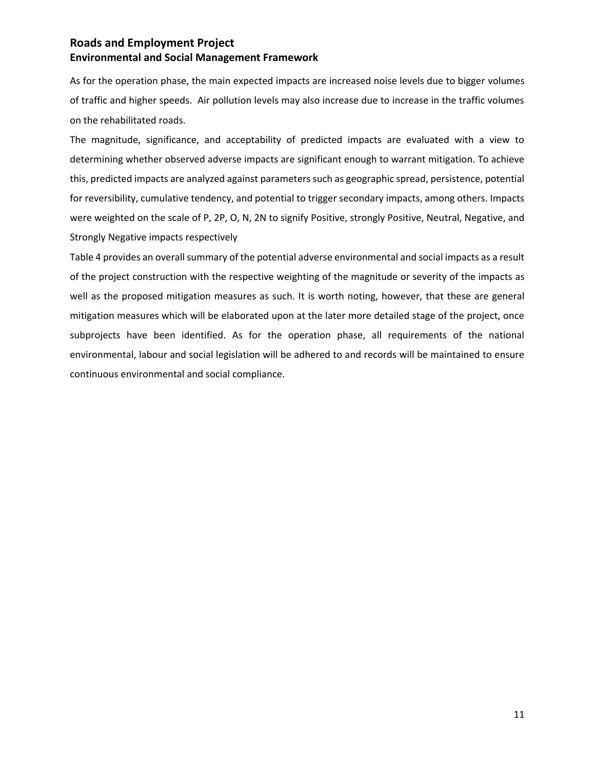As for the operation phase, the main expected impacts are increased noise levels due to bigger volumes of traffic and higher speeds. Air pollution levels may also increase due to increase in the traffic volumes on the rehabilitated roads.

The magnitude, significance, and acceptability of predicted impacts are evaluated with a view to determining whether observed adverse impacts are significant enough to warrant mitigation. To achieve this, predicted impacts are analyzed against parameters such as geographic spread, persistence, potential for reversibility, cumulative tendency, and potential to trigger secondary impacts, among others. Impacts were weighted on the scale of P, 2P, O, N, 2N to signify Positive, strongly Positive, Neutral, Negative, and Strongly Negative impacts respectively

Table 4 provides an overall summary of the potential adverse environmental and social impacts as a result of the project construction with the respective weighting of the magnitude or severity of the impacts as well as the proposed mitigation measures as such. It is worth noting, however, that these are general mitigation measures which will be elaborated upon at the later more detailed stage of the project, once subprojects have been identified. As for the operation phase, all requirements of the national environmental, labour and social legislation will be adhered to and records will be maintained to ensure continuous environmental and social compliance.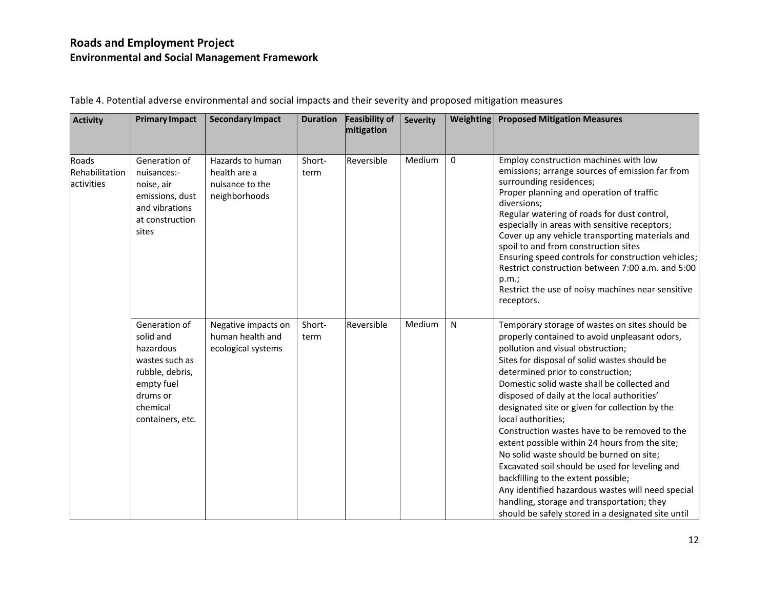| <b>Activity</b>                       | <b>Primary Impact</b>                                                                                                                  | <b>Secondary Impact</b>                                              | <b>Duration</b> | <b>Feasibility of</b><br>mitigation | <b>Severity</b> | <b>Weighting</b> | <b>Proposed Mitigation Measures</b>                                                                                                                                                                                                                                                                                                                                                                                                                                                                                                                                                                                                                                                                                                                                                              |
|---------------------------------------|----------------------------------------------------------------------------------------------------------------------------------------|----------------------------------------------------------------------|-----------------|-------------------------------------|-----------------|------------------|--------------------------------------------------------------------------------------------------------------------------------------------------------------------------------------------------------------------------------------------------------------------------------------------------------------------------------------------------------------------------------------------------------------------------------------------------------------------------------------------------------------------------------------------------------------------------------------------------------------------------------------------------------------------------------------------------------------------------------------------------------------------------------------------------|
| Roads<br>Rehabilitation<br>activities | Generation of<br>nuisances:-<br>noise, air<br>emissions, dust<br>and vibrations<br>at construction<br>sites                            | Hazards to human<br>health are a<br>nuisance to the<br>neighborhoods | Short-<br>term  | Reversible                          | Medium          | $\mathbf{0}$     | Employ construction machines with low<br>emissions; arrange sources of emission far from<br>surrounding residences;<br>Proper planning and operation of traffic<br>diversions;<br>Regular watering of roads for dust control,<br>especially in areas with sensitive receptors;<br>Cover up any vehicle transporting materials and<br>spoil to and from construction sites<br>Ensuring speed controls for construction vehicles;<br>Restrict construction between 7:00 a.m. and 5:00<br>p.m.;<br>Restrict the use of noisy machines near sensitive<br>receptors.                                                                                                                                                                                                                                  |
|                                       | Generation of<br>solid and<br>hazardous<br>wastes such as<br>rubble, debris,<br>empty fuel<br>drums or<br>chemical<br>containers, etc. | Negative impacts on<br>human health and<br>ecological systems        | Short-<br>term  | Reversible                          | Medium          | $\mathsf{N}$     | Temporary storage of wastes on sites should be<br>properly contained to avoid unpleasant odors,<br>pollution and visual obstruction;<br>Sites for disposal of solid wastes should be<br>determined prior to construction;<br>Domestic solid waste shall be collected and<br>disposed of daily at the local authorities'<br>designated site or given for collection by the<br>local authorities;<br>Construction wastes have to be removed to the<br>extent possible within 24 hours from the site;<br>No solid waste should be burned on site;<br>Excavated soil should be used for leveling and<br>backfilling to the extent possible;<br>Any identified hazardous wastes will need special<br>handling, storage and transportation; they<br>should be safely stored in a designated site until |

Table 4. Potential adverse environmental and social impacts and their severity and proposed mitigation measures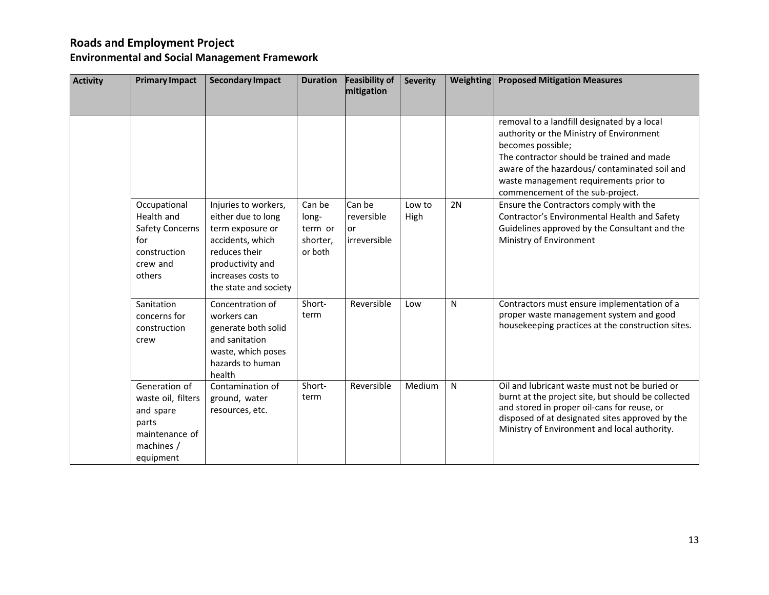**Environmental and Social Management Framework**

| <b>Activity</b> | <b>Primary Impact</b>                                                                                  | <b>Secondary Impact</b>                                                                                                                                                | <b>Duration</b>                                   | <b>Feasibility of</b><br>mitigation        | <b>Severity</b> | Weighting    | <b>Proposed Mitigation Measures</b>                                                                                                                                                                                                                                                      |
|-----------------|--------------------------------------------------------------------------------------------------------|------------------------------------------------------------------------------------------------------------------------------------------------------------------------|---------------------------------------------------|--------------------------------------------|-----------------|--------------|------------------------------------------------------------------------------------------------------------------------------------------------------------------------------------------------------------------------------------------------------------------------------------------|
|                 |                                                                                                        |                                                                                                                                                                        |                                                   |                                            |                 |              | removal to a landfill designated by a local<br>authority or the Ministry of Environment<br>becomes possible;<br>The contractor should be trained and made<br>aware of the hazardous/ contaminated soil and<br>waste management requirements prior to<br>commencement of the sub-project. |
|                 | Occupational<br>Health and<br><b>Safety Concerns</b><br>for<br>construction<br>crew and<br>others      | Injuries to workers,<br>either due to long<br>term exposure or<br>accidents, which<br>reduces their<br>productivity and<br>increases costs to<br>the state and society | Can be<br>long-<br>term or<br>shorter,<br>or both | Can be<br>reversible<br>or<br>irreversible | Low to<br>High  | 2N           | Ensure the Contractors comply with the<br>Contractor's Environmental Health and Safety<br>Guidelines approved by the Consultant and the<br>Ministry of Environment                                                                                                                       |
|                 | Sanitation<br>concerns for<br>construction<br>crew                                                     | Concentration of<br>workers can<br>generate both solid<br>and sanitation<br>waste, which poses<br>hazards to human<br>health                                           | Short-<br>term                                    | Reversible                                 | Low             | N            | Contractors must ensure implementation of a<br>proper waste management system and good<br>housekeeping practices at the construction sites.                                                                                                                                              |
|                 | Generation of<br>waste oil, filters<br>and spare<br>parts<br>maintenance of<br>machines /<br>equipment | Contamination of<br>ground, water<br>resources, etc.                                                                                                                   | Short-<br>term                                    | Reversible                                 | Medium          | $\mathsf{N}$ | Oil and lubricant waste must not be buried or<br>burnt at the project site, but should be collected<br>and stored in proper oil-cans for reuse, or<br>disposed of at designated sites approved by the<br>Ministry of Environment and local authority.                                    |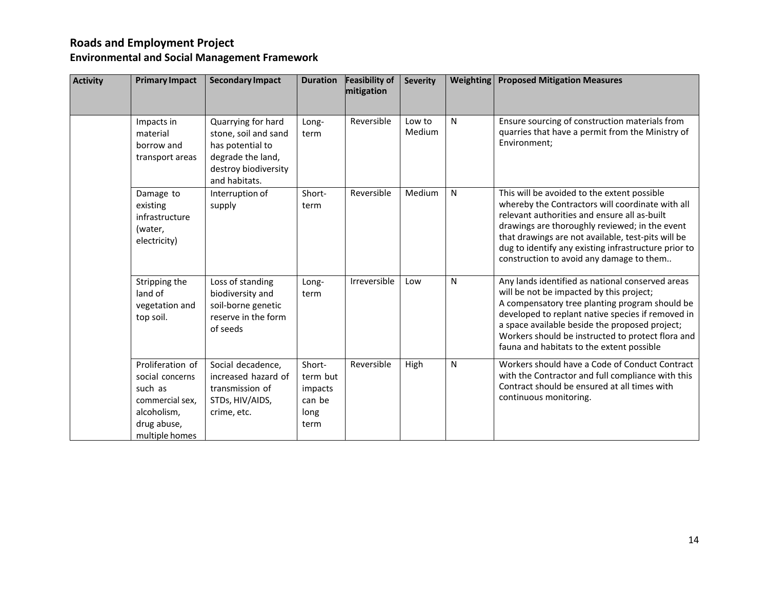# **Environmental and Social Management Framework**

| <b>Activity</b> | <b>Primary Impact</b>                                                                                             | <b>Secondary Impact</b>                                                                                                      | <b>Duration</b>                                         | <b>Feasibility of</b><br>mitigation | <b>Severity</b>  | <b>Weighting</b> | <b>Proposed Mitigation Measures</b>                                                                                                                                                                                                                                                                                                                         |
|-----------------|-------------------------------------------------------------------------------------------------------------------|------------------------------------------------------------------------------------------------------------------------------|---------------------------------------------------------|-------------------------------------|------------------|------------------|-------------------------------------------------------------------------------------------------------------------------------------------------------------------------------------------------------------------------------------------------------------------------------------------------------------------------------------------------------------|
|                 | Impacts in<br>material<br>borrow and<br>transport areas                                                           | Quarrying for hard<br>stone, soil and sand<br>has potential to<br>degrade the land,<br>destroy biodiversity<br>and habitats. | Long-<br>term                                           | Reversible                          | Low to<br>Medium | N                | Ensure sourcing of construction materials from<br>quarries that have a permit from the Ministry of<br>Environment;                                                                                                                                                                                                                                          |
|                 | Damage to<br>existing<br>infrastructure<br>(water,<br>electricity)                                                | Interruption of<br>supply                                                                                                    | Short-<br>term                                          | Reversible                          | Medium           | N                | This will be avoided to the extent possible<br>whereby the Contractors will coordinate with all<br>relevant authorities and ensure all as-built<br>drawings are thoroughly reviewed; in the event<br>that drawings are not available, test-pits will be<br>dug to identify any existing infrastructure prior to<br>construction to avoid any damage to them |
|                 | Stripping the<br>land of<br>vegetation and<br>top soil.                                                           | Loss of standing<br>biodiversity and<br>soil-borne genetic<br>reserve in the form<br>of seeds                                | Long-<br>term                                           | Irreversible                        | Low              | N                | Any lands identified as national conserved areas<br>will be not be impacted by this project;<br>A compensatory tree planting program should be<br>developed to replant native species if removed in<br>a space available beside the proposed project;<br>Workers should be instructed to protect flora and<br>fauna and habitats to the extent possible     |
|                 | Proliferation of<br>social concerns<br>such as<br>commercial sex,<br>alcoholism,<br>drug abuse,<br>multiple homes | Social decadence,<br>increased hazard of<br>transmission of<br>STDs, HIV/AIDS,<br>crime, etc.                                | Short-<br>term but<br>impacts<br>can be<br>long<br>term | Reversible                          | High             | N                | Workers should have a Code of Conduct Contract<br>with the Contractor and full compliance with this<br>Contract should be ensured at all times with<br>continuous monitoring.                                                                                                                                                                               |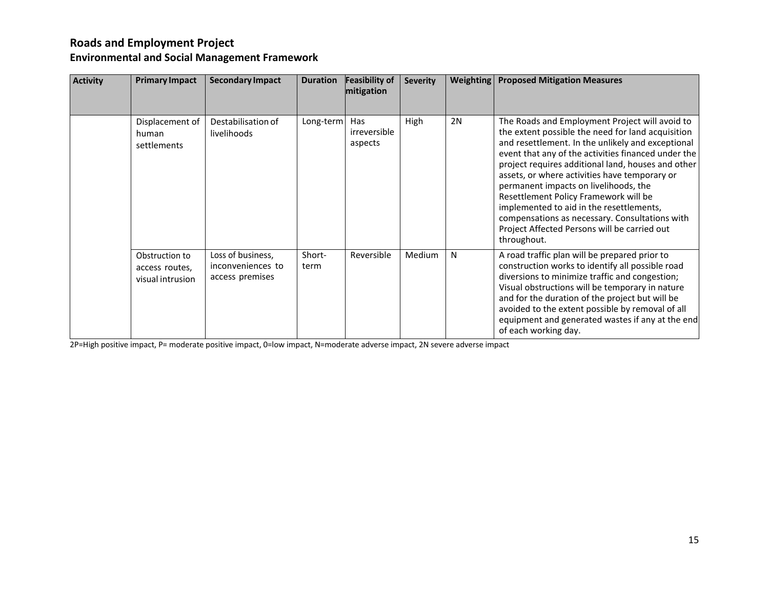**Environmental and Social Management Framework**

| <b>Activity</b> | <b>Primary Impact</b>                                | <b>Secondary Impact</b>                                   | <b>Duration</b> | <b>Feasibility of</b><br>mitigation | <b>Severity</b> | <b>Weighting</b> | <b>Proposed Mitigation Measures</b>                                                                                                                                                                                                                                                                                                                                                                                                                                                                                                                                   |
|-----------------|------------------------------------------------------|-----------------------------------------------------------|-----------------|-------------------------------------|-----------------|------------------|-----------------------------------------------------------------------------------------------------------------------------------------------------------------------------------------------------------------------------------------------------------------------------------------------------------------------------------------------------------------------------------------------------------------------------------------------------------------------------------------------------------------------------------------------------------------------|
|                 | Displacement of<br>human<br>settlements              | Destabilisation of<br>livelihoods                         | Long-term       | Has<br>irreversible<br>aspects      | High            | 2N               | The Roads and Employment Project will avoid to<br>the extent possible the need for land acquisition<br>and resettlement. In the unlikely and exceptional<br>event that any of the activities financed under the<br>project requires additional land, houses and other<br>assets, or where activities have temporary or<br>permanent impacts on livelihoods, the<br>Resettlement Policy Framework will be<br>implemented to aid in the resettlements,<br>compensations as necessary. Consultations with<br>Project Affected Persons will be carried out<br>throughout. |
|                 | Obstruction to<br>access routes,<br>visual intrusion | Loss of business,<br>inconveniences to<br>access premises | Short-<br>term  | Reversible                          | Medium          | N                | A road traffic plan will be prepared prior to<br>construction works to identify all possible road<br>diversions to minimize traffic and congestion;<br>Visual obstructions will be temporary in nature<br>and for the duration of the project but will be<br>avoided to the extent possible by removal of all<br>equipment and generated wastes if any at the end<br>of each working day.                                                                                                                                                                             |

2P=High positive impact, P= moderate positive impact, 0=low impact, N=moderate adverse impact, 2N severe adverse impact